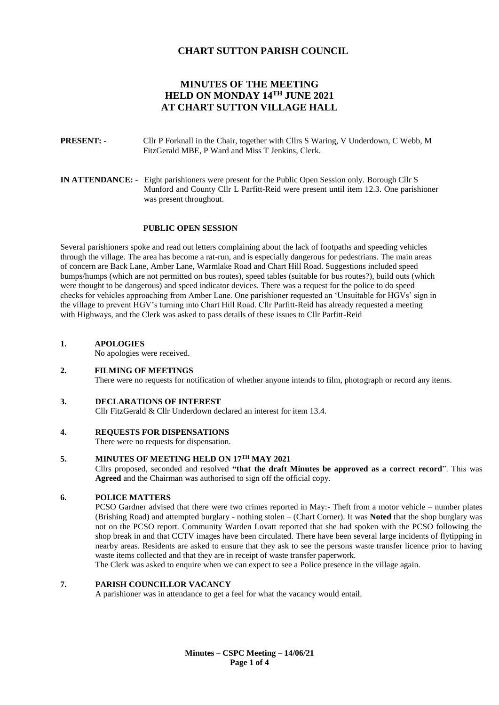# **CHART SUTTON PARISH COUNCIL**

# **MINUTES OF THE MEETING HELD ON MONDAY 14TH JUNE 2021 AT CHART SUTTON VILLAGE HALL**

- **PRESENT: -** Cllr P Forknall in the Chair, together with Cllrs S Waring, V Underdown, C Webb, M FitzGerald MBE, P Ward and Miss T Jenkins, Clerk.
- **IN ATTENDANCE:** Eight parishioners were present for the Public Open Session only. Borough Cllr S Munford and County Cllr L Parfitt-Reid were present until item 12.3. One parishioner was present throughout.

#### **PUBLIC OPEN SESSION**

Several parishioners spoke and read out letters complaining about the lack of footpaths and speeding vehicles through the village. The area has become a rat-run, and is especially dangerous for pedestrians. The main areas of concern are Back Lane, Amber Lane, Warmlake Road and Chart Hill Road. Suggestions included speed bumps/humps (which are not permitted on bus routes), speed tables (suitable for bus routes?), build outs (which were thought to be dangerous) and speed indicator devices. There was a request for the police to do speed checks for vehicles approaching from Amber Lane. One parishioner requested an 'Unsuitable for HGVs' sign in the village to prevent HGV's turning into Chart Hill Road. Cllr Parfitt-Reid has already requested a meeting with Highways, and the Clerk was asked to pass details of these issues to Cllr Parfitt-Reid

#### **1. APOLOGIES**

No apologies were received.

#### **2. FILMING OF MEETINGS**

There were no requests for notification of whether anyone intends to film, photograph or record any items.

#### **3. DECLARATIONS OF INTEREST**

Cllr FitzGerald & Cllr Underdown declared an interest for item 13.4.

#### **4. REQUESTS FOR DISPENSATIONS**

There were no requests for dispensation.

# **5. MINUTES OF MEETING HELD ON 17TH MAY 2021**

Cllrs proposed, seconded and resolved **"that the draft Minutes be approved as a correct record**". This was **Agreed** and the Chairman was authorised to sign off the official copy.

### **6. POLICE MATTERS**

PCSO Gardner advised that there were two crimes reported in May:- Theft from a motor vehicle – number plates (Brishing Road) and attempted burglary - nothing stolen – (Chart Corner). It was **Noted** that the shop burglary was not on the PCSO report. Community Warden Lovatt reported that she had spoken with the PCSO following the shop break in and that CCTV images have been circulated. There have been several large incidents of flytipping in nearby areas. Residents are asked to ensure that they ask to see the persons waste transfer licence prior to having waste items collected and that they are in receipt of waste transfer paperwork.

The Clerk was asked to enquire when we can expect to see a Police presence in the village again.

# **7. PARISH COUNCILLOR VACANCY**

A parishioner was in attendance to get a feel for what the vacancy would entail.

**Minutes – CSPC Meeting – 14/06/21 Page 1 of 4**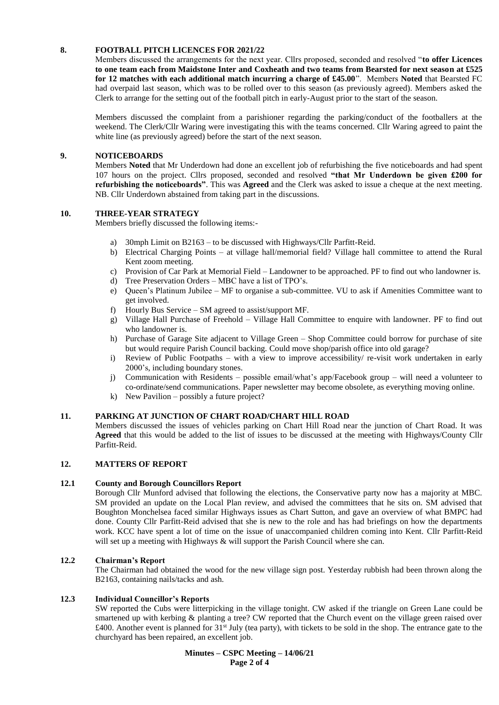## **8. FOOTBALL PITCH LICENCES FOR 2021/22**

Members discussed the arrangements for the next year. Cllrs proposed, seconded and resolved "**to offer Licences to one team each from Maidstone Inter and Coxheath and two teams from Bearsted for next season at £525 for 12 matches with each additional match incurring a charge of £45.00**". Members **Noted** that Bearsted FC had overpaid last season, which was to be rolled over to this season (as previously agreed). Members asked the Clerk to arrange for the setting out of the football pitch in early-August prior to the start of the season.

Members discussed the complaint from a parishioner regarding the parking/conduct of the footballers at the weekend. The Clerk/Cllr Waring were investigating this with the teams concerned. Cllr Waring agreed to paint the white line (as previously agreed) before the start of the next season.

### **9. NOTICEBOARDS**

Members **Noted** that Mr Underdown had done an excellent job of refurbishing the five noticeboards and had spent 107 hours on the project. Cllrs proposed, seconded and resolved **"that Mr Underdown be given £200 for refurbishing the noticeboards"**. This was **Agreed** and the Clerk was asked to issue a cheque at the next meeting. NB. Cllr Underdown abstained from taking part in the discussions.

#### **10. THREE-YEAR STRATEGY**

Members briefly discussed the following items:-

- a) 30mph Limit on B2163 to be discussed with Highways/Cllr Parfitt-Reid.
- b) Electrical Charging Points at village hall/memorial field? Village hall committee to attend the Rural Kent zoom meeting.
- c) Provision of Car Park at Memorial Field Landowner to be approached. PF to find out who landowner is.
- d) Tree Preservation Orders MBC have a list of TPO's.
- e) Queen's Platinum Jubilee MF to organise a sub-committee. VU to ask if Amenities Committee want to get involved.
- f) Hourly Bus Service SM agreed to assist/support MF.
- g) Village Hall Purchase of Freehold Village Hall Committee to enquire with landowner. PF to find out who landowner is.
- h) Purchase of Garage Site adjacent to Village Green Shop Committee could borrow for purchase of site but would require Parish Council backing. Could move shop/parish office into old garage?
- i) Review of Public Footpaths with a view to improve accessibility/ re-visit work undertaken in early 2000's, including boundary stones.
- j) Communication with Residents possible email/what's app/Facebook group will need a volunteer to co-ordinate/send communications. Paper newsletter may become obsolete, as everything moving online.
- k) New Pavilion possibly a future project?

### **11. PARKING AT JUNCTION OF CHART ROAD/CHART HILL ROAD**

Members discussed the issues of vehicles parking on Chart Hill Road near the junction of Chart Road. It was **Agreed** that this would be added to the list of issues to be discussed at the meeting with Highways/County Cllr Parfitt-Reid.

# **12. MATTERS OF REPORT**

### **12.1 County and Borough Councillors Report**

Borough Cllr Munford advised that following the elections, the Conservative party now has a majority at MBC. SM provided an update on the Local Plan review, and advised the committees that he sits on. SM advised that Boughton Monchelsea faced similar Highways issues as Chart Sutton, and gave an overview of what BMPC had done. County Cllr Parfitt-Reid advised that she is new to the role and has had briefings on how the departments work. KCC have spent a lot of time on the issue of unaccompanied children coming into Kent. Cllr Parfitt-Reid will set up a meeting with Highways & will support the Parish Council where she can.

## **12.2 Chairman's Report**

The Chairman had obtained the wood for the new village sign post. Yesterday rubbish had been thrown along the B2163, containing nails/tacks and ash.

#### **12.3 Individual Councillor's Reports**

SW reported the Cubs were litterpicking in the village tonight. CW asked if the triangle on Green Lane could be smartened up with kerbing & planting a tree? CW reported that the Church event on the village green raised over  $£400$ . Another event is planned for  $31<sup>st</sup>$  July (tea party), with tickets to be sold in the shop. The entrance gate to the churchyard has been repaired, an excellent job.

> **Minutes – CSPC Meeting – 14/06/21 Page 2 of 4**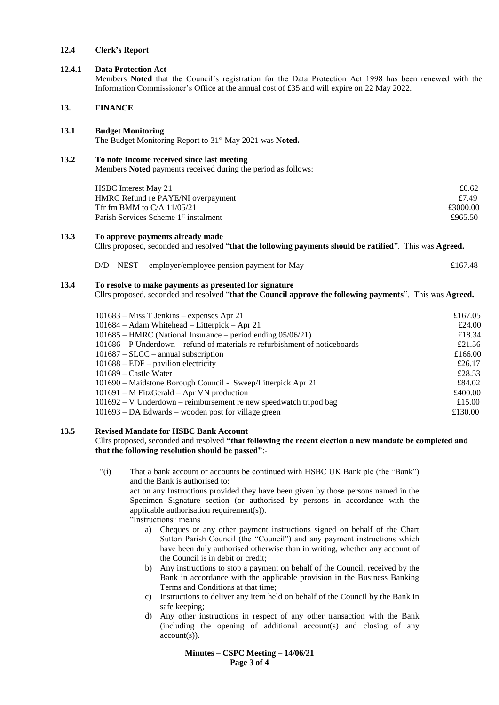#### **12.4 Clerk's Report**

# **12.4.1 Data Protection Act**

Members **Noted** that the Council's registration for the Data Protection Act 1998 has been renewed with the Information Commissioner's Office at the annual cost of £35 and will expire on 22 May 2022.

### **13. FINANCE**

#### **13.1 Budget Monitoring**

The Budget Monitoring Report to 31st May 2021 was **Noted.**

### **13.2 To note Income received since last meeting**

Members **Noted** payments received during the period as follows:

| <b>HSBC</b> Interest May 21                       | £0.62    |
|---------------------------------------------------|----------|
| HMRC Refund re PAYE/NI overpayment                | £7.49    |
| Tfr fm BMM to C/A $11/05/21$                      | £3000.00 |
| Parish Services Scheme 1 <sup>st</sup> instalment | £965.50  |

#### **13.3 To approve payments already made**

Cllrs proposed, seconded and resolved "**that the following payments should be ratified**". This was **Agreed.**

| $D/D - NEST$ – employer/employee pension payment for May | £167.48 |
|----------------------------------------------------------|---------|
|----------------------------------------------------------|---------|

#### **13.4 To resolve to make payments as presented for signature**

Cllrs proposed, seconded and resolved "**that the Council approve the following payments**". This was **Agreed.**

| $101683 - Miss T Jenkins - expenses Apr 21$                                 | £167.05 |
|-----------------------------------------------------------------------------|---------|
| 101684 - Adam Whitehead - Litterpick - Apr 21                               | £24.00  |
| $101685$ – HMRC (National Insurance – period ending $05/06/21$ )            | £18.34  |
| 101686 – P Underdown – refund of materials re refurbishment of noticeboards | £21.56  |
| $101687 - SLCC$ – annual subscription                                       | £166.00 |
| $101688 - EDF$ – pavilion electricity                                       | £26.17  |
| $101689 -$ Castle Water                                                     | £28.53  |
| 101690 – Maidstone Borough Council - Sweep/Litterpick Apr 21                | £84.02  |
| $101691 - M$ FitzGerald – Apr VN production                                 | £400.00 |
| $101692 - V$ Underdown – reimbursement re new speedwatch tripod bag         | £15.00  |
| $101693 - DA$ Edwards – wooden post for village green                       | £130.00 |

#### **13.5 Revised Mandate for HSBC Bank Account**

Cllrs proposed, seconded and resolved **"that following the recent election a new mandate be completed and that the following resolution should be passed"**:-

"(i) That a bank account or accounts be continued with HSBC UK Bank plc (the "Bank") and the Bank is authorised to: act on any Instructions provided they have been given by those persons named in the Specimen Signature section (or authorised by persons in accordance with the

applicable authorisation requirement(s)). "Instructions" means

- a) Cheques or any other payment instructions signed on behalf of the Chart Sutton Parish Council (the "Council") and any payment instructions which have been duly authorised otherwise than in writing, whether any account of the Council is in debit or credit;
- b) Any instructions to stop a payment on behalf of the Council, received by the Bank in accordance with the applicable provision in the Business Banking Terms and Conditions at that time;
- c) Instructions to deliver any item held on behalf of the Council by the Bank in safe keeping;
- d) Any other instructions in respect of any other transaction with the Bank (including the opening of additional account(s) and closing of any account(s)).

**Minutes – CSPC Meeting – 14/06/21 Page 3 of 4**